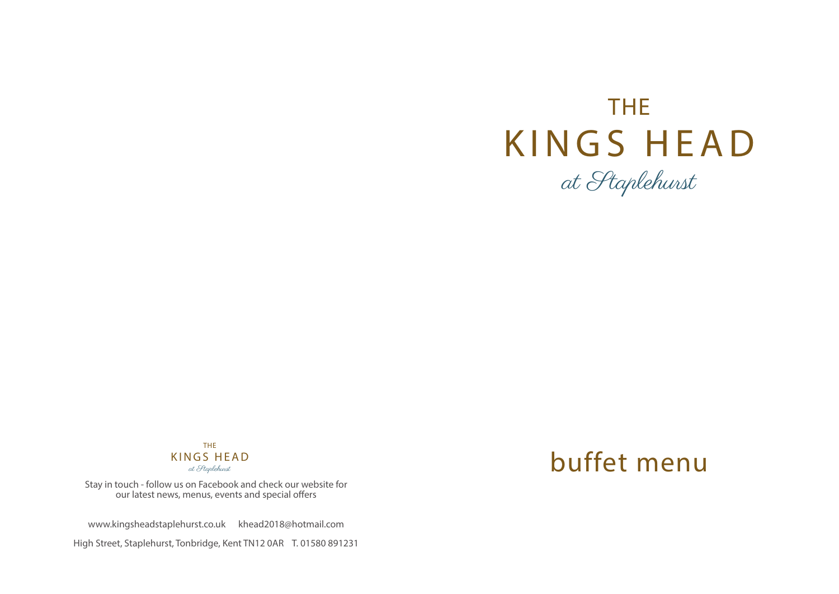# THE KINGS HEAD at Staplehurst

THE KINGS HEAD at Staplehurst

Stay in touch - follow us on Facebook and check our website for our latest news, menus, events and special offers

www.kingsheadstaplehurst.co.uk khead2018@hotmail.com

High Street, Staplehurst, Tonbridge, Kent TN12 0AR T. 01580 891231

## buffet menu